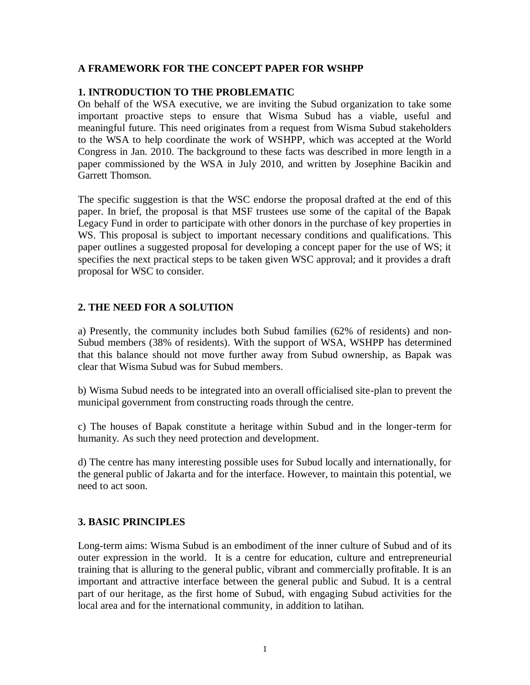# **A FRAMEWORK FOR THE CONCEPT PAPER FOR WSHPP**

# **1. INTRODUCTION TO THE PROBLEMATIC**

On behalf of the WSA executive, we are inviting the Subud organization to take some important proactive steps to ensure that Wisma Subud has a viable, useful and meaningful future. This need originates from a request from Wisma Subud stakeholders to the WSA to help coordinate the work of WSHPP, which was accepted at the World Congress in Jan. 2010. The background to these facts was described in more length in a paper commissioned by the WSA in July 2010, and written by Josephine Bacikin and Garrett Thomson.

The specific suggestion is that the WSC endorse the proposal drafted at the end of this paper. In brief, the proposal is that MSF trustees use some of the capital of the Bapak Legacy Fund in order to participate with other donors in the purchase of key properties in WS. This proposal is subject to important necessary conditions and qualifications. This paper outlines a suggested proposal for developing a concept paper for the use of WS; it specifies the next practical steps to be taken given WSC approval; and it provides a draft proposal for WSC to consider.

# **2. THE NEED FOR A SOLUTION**

a) Presently, the community includes both Subud families (62% of residents) and non-Subud members (38% of residents). With the support of WSA, WSHPP has determined that this balance should not move further away from Subud ownership, as Bapak was clear that Wisma Subud was for Subud members.

b) Wisma Subud needs to be integrated into an overall officialised site-plan to prevent the municipal government from constructing roads through the centre.

c) The houses of Bapak constitute a heritage within Subud and in the longer-term for humanity. As such they need protection and development.

d) The centre has many interesting possible uses for Subud locally and internationally, for the general public of Jakarta and for the interface. However, to maintain this potential, we need to act soon.

## **3. BASIC PRINCIPLES**

Long-term aims: Wisma Subud is an embodiment of the inner culture of Subud and of its outer expression in the world. It is a centre for education, culture and entrepreneurial training that is alluring to the general public, vibrant and commercially profitable. It is an important and attractive interface between the general public and Subud. It is a central part of our heritage, as the first home of Subud, with engaging Subud activities for the local area and for the international community, in addition to latihan.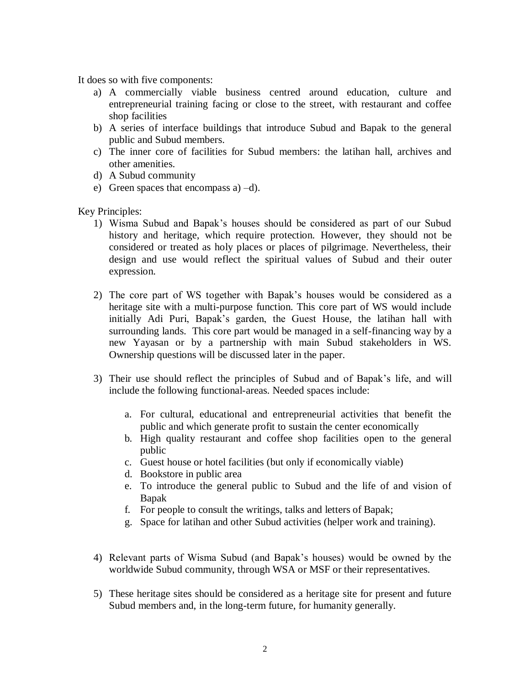It does so with five components:

- a) A commercially viable business centred around education, culture and entrepreneurial training facing or close to the street, with restaurant and coffee shop facilities
- b) A series of interface buildings that introduce Subud and Bapak to the general public and Subud members.
- c) The inner core of facilities for Subud members: the latihan hall, archives and other amenities.
- d) A Subud community
- e) Green spaces that encompass  $a$ ) –d).

Key Principles:

- 1) Wisma Subud and Bapak's houses should be considered as part of our Subud history and heritage, which require protection. However, they should not be considered or treated as holy places or places of pilgrimage. Nevertheless, their design and use would reflect the spiritual values of Subud and their outer expression.
- 2) The core part of WS together with Bapak's houses would be considered as a heritage site with a multi-purpose function. This core part of WS would include initially Adi Puri, Bapak's garden, the Guest House, the latihan hall with surrounding lands. This core part would be managed in a self-financing way by a new Yayasan or by a partnership with main Subud stakeholders in WS. Ownership questions will be discussed later in the paper.
- 3) Their use should reflect the principles of Subud and of Bapak's life, and will include the following functional-areas. Needed spaces include:
	- a. For cultural, educational and entrepreneurial activities that benefit the public and which generate profit to sustain the center economically
	- b. High quality restaurant and coffee shop facilities open to the general public
	- c. Guest house or hotel facilities (but only if economically viable)
	- d. Bookstore in public area
	- e. To introduce the general public to Subud and the life of and vision of Bapak
	- f. For people to consult the writings, talks and letters of Bapak;
	- g. Space for latihan and other Subud activities (helper work and training).
- 4) Relevant parts of Wisma Subud (and Bapak's houses) would be owned by the worldwide Subud community, through WSA or MSF or their representatives.
- 5) These heritage sites should be considered as a heritage site for present and future Subud members and, in the long-term future, for humanity generally.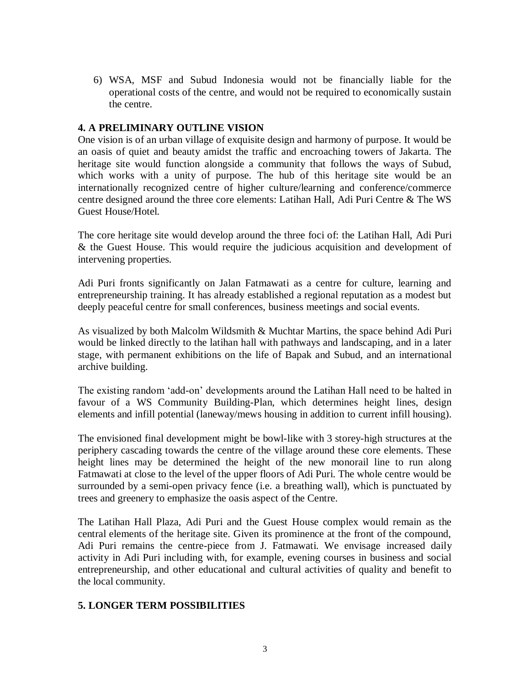6) WSA, MSF and Subud Indonesia would not be financially liable for the operational costs of the centre, and would not be required to economically sustain the centre.

### **4. A PRELIMINARY OUTLINE VISION**

One vision is of an urban village of exquisite design and harmony of purpose. It would be an oasis of quiet and beauty amidst the traffic and encroaching towers of Jakarta. The heritage site would function alongside a community that follows the ways of Subud, which works with a unity of purpose. The hub of this heritage site would be an internationally recognized centre of higher culture/learning and conference/commerce centre designed around the three core elements: Latihan Hall, Adi Puri Centre & The WS Guest House/Hotel.

The core heritage site would develop around the three foci of: the Latihan Hall, Adi Puri & the Guest House. This would require the judicious acquisition and development of intervening properties.

Adi Puri fronts significantly on Jalan Fatmawati as a centre for culture, learning and entrepreneurship training. It has already established a regional reputation as a modest but deeply peaceful centre for small conferences, business meetings and social events.

As visualized by both Malcolm Wildsmith & Muchtar Martins, the space behind Adi Puri would be linked directly to the latihan hall with pathways and landscaping, and in a later stage, with permanent exhibitions on the life of Bapak and Subud, and an international archive building.

The existing random 'add-on' developments around the Latihan Hall need to be halted in favour of a WS Community Building-Plan, which determines height lines, design elements and infill potential (laneway/mews housing in addition to current infill housing).

The envisioned final development might be bowl-like with 3 storey-high structures at the periphery cascading towards the centre of the village around these core elements. These height lines may be determined the height of the new monorail line to run along Fatmawati at close to the level of the upper floors of Adi Puri. The whole centre would be surrounded by a semi-open privacy fence (i.e. a breathing wall), which is punctuated by trees and greenery to emphasize the oasis aspect of the Centre.

The Latihan Hall Plaza, Adi Puri and the Guest House complex would remain as the central elements of the heritage site. Given its prominence at the front of the compound, Adi Puri remains the centre-piece from J. Fatmawati. We envisage increased daily activity in Adi Puri including with, for example, evening courses in business and social entrepreneurship, and other educational and cultural activities of quality and benefit to the local community.

## **5. LONGER TERM POSSIBILITIES**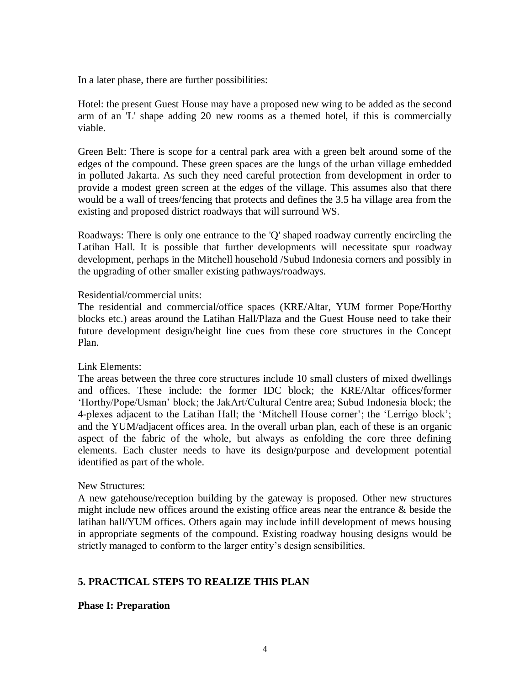In a later phase, there are further possibilities:

Hotel: the present Guest House may have a proposed new wing to be added as the second arm of an 'L' shape adding 20 new rooms as a themed hotel, if this is commercially viable.

Green Belt: There is scope for a central park area with a green belt around some of the edges of the compound. These green spaces are the lungs of the urban village embedded in polluted Jakarta. As such they need careful protection from development in order to provide a modest green screen at the edges of the village. This assumes also that there would be a wall of trees/fencing that protects and defines the 3.5 ha village area from the existing and proposed district roadways that will surround WS.

Roadways: There is only one entrance to the 'Q' shaped roadway currently encircling the Latihan Hall. It is possible that further developments will necessitate spur roadway development, perhaps in the Mitchell household /Subud Indonesia corners and possibly in the upgrading of other smaller existing pathways/roadways.

### Residential/commercial units:

The residential and commercial/office spaces (KRE/Altar, YUM former Pope/Horthy blocks etc.) areas around the Latihan Hall/Plaza and the Guest House need to take their future development design/height line cues from these core structures in the Concept Plan.

## Link Elements:

The areas between the three core structures include 10 small clusters of mixed dwellings and offices. These include: the former IDC block; the KRE/Altar offices/former 'Horthy/Pope/Usman' block; the JakArt/Cultural Centre area; Subud Indonesia block; the 4-plexes adjacent to the Latihan Hall; the 'Mitchell House corner'; the 'Lerrigo block'; and the YUM/adjacent offices area. In the overall urban plan, each of these is an organic aspect of the fabric of the whole, but always as enfolding the core three defining elements. Each cluster needs to have its design/purpose and development potential identified as part of the whole.

#### New Structures:

A new gatehouse/reception building by the gateway is proposed. Other new structures might include new offices around the existing office areas near the entrance  $\&$  beside the latihan hall/YUM offices. Others again may include infill development of mews housing in appropriate segments of the compound. Existing roadway housing designs would be strictly managed to conform to the larger entity's design sensibilities.

## **5. PRACTICAL STEPS TO REALIZE THIS PLAN**

#### **Phase I: Preparation**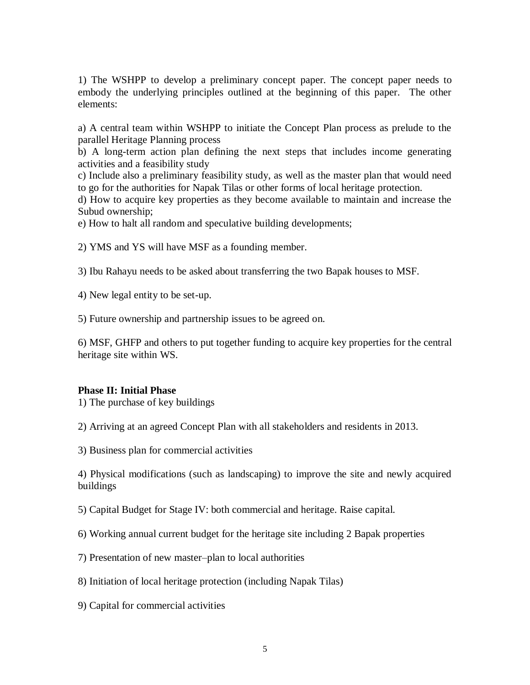1) The WSHPP to develop a preliminary concept paper. The concept paper needs to embody the underlying principles outlined at the beginning of this paper. The other elements:

a) A central team within WSHPP to initiate the Concept Plan process as prelude to the parallel Heritage Planning process

b) A long-term action plan defining the next steps that includes income generating activities and a feasibility study

c) Include also a preliminary feasibility study, as well as the master plan that would need to go for the authorities for Napak Tilas or other forms of local heritage protection.

d) How to acquire key properties as they become available to maintain and increase the Subud ownership;

e) How to halt all random and speculative building developments;

2) YMS and YS will have MSF as a founding member.

3) Ibu Rahayu needs to be asked about transferring the two Bapak houses to MSF.

4) New legal entity to be set-up.

5) Future ownership and partnership issues to be agreed on.

6) MSF, GHFP and others to put together funding to acquire key properties for the central heritage site within WS.

#### **Phase II: Initial Phase**

1) The purchase of key buildings

2) Arriving at an agreed Concept Plan with all stakeholders and residents in 2013.

3) Business plan for commercial activities

4) Physical modifications (such as landscaping) to improve the site and newly acquired buildings

5) Capital Budget for Stage IV: both commercial and heritage. Raise capital.

6) Working annual current budget for the heritage site including 2 Bapak properties

7) Presentation of new master–plan to local authorities

8) Initiation of local heritage protection (including Napak Tilas)

9) Capital for commercial activities